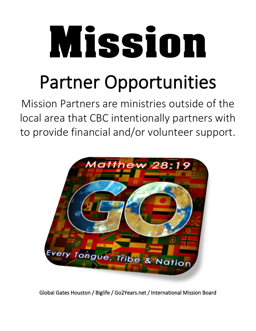# Mission Partner Opportunities

Mission Partners are ministries outside of the local area that CBC intentionally partners with to provide financial and/or volunteer support.



Global Gates Houston / Biglife / Go2Years.net / International Mission Board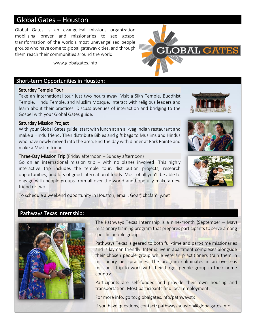# Global Gates – Houston

Global Gates is an evangelical missions organization mobilizing prayer and missionaries to see gospel transformation of the world's most unevangelized people groups who have come to global gateway cities, and through them reach their communities around the world.

www.globalgates.info

### Short-term Opportunities in Houston:

#### Saturday Temple Tour

Take an international tour just two hours away. Visit a Sikh Temple, Buddhist Temple, Hindu Temple, and Muslim Mosque. Interact with religious leaders and learn about their practices. Discuss avenues of interaction and bridging to the Gospel with your Global Gates guide.

#### Saturday Mission Project

With your Global Gates guide, start with lunch at an all-veg Indian restaurant and make a Hindu friend. Then distribute Bibles and gift bags to Muslims and Hindus who have newly moved into the area. End the day with dinner at Park Pointe and make a Muslim friend.

#### Three-Day Mission Trip (Friday afternoon - Sunday afternoon)

Go on an international mission trip - with no planes involved! This highly interactive trip includes the temple tour, distribution projects, research opportunities, and lots of good international foods. Most of all you'll be able to engage with people groups from all over the world and hopefully make a new friend or two.



## Pathways Texas Internship:



The Pathways Texas Internship is a nine-month (September – May) missionary training program that prepares participants to serve among specific people groups.

Pathways Texas is geared to both full-time and part-time missionaries and is layman friendly. Interns live in apartment complexes alongside their chosen people group while veteran practitioners train them in missionary best-practices. The program culminates in an overseas missions' trip to work with their target people group in their home country.

Participants are self-funded and provide their own housing and transportation. Most participants find local employment.

For more info, go to: globalgates.info/pathwaystx

If you have questions, contact: pathwayshouston@globalgates.info.